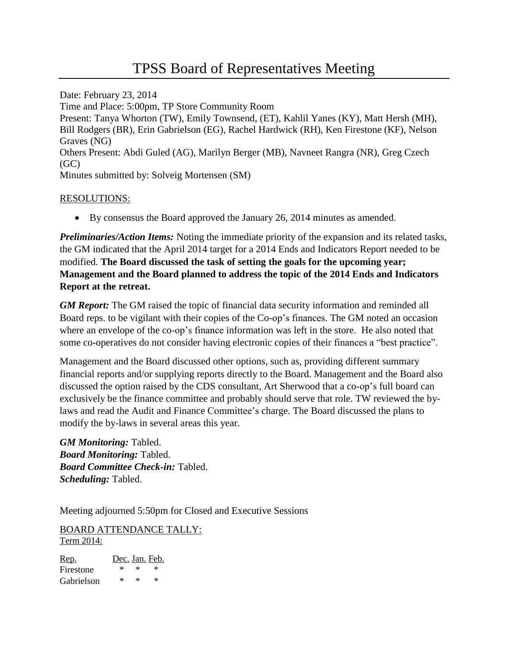Date: February 23, 2014 Time and Place: 5:00pm, TP Store Community Room Present: Tanya Whorton (TW), Emily Townsend, (ET), Kahlil Yanes (KY), Matt Hersh (MH), Bill Rodgers (BR), Erin Gabrielson (EG), Rachel Hardwick (RH), Ken Firestone (KF), Nelson Graves (NG) Others Present: Abdi Guled (AG), Marilyn Berger (MB), Navneet Rangra (NR), Greg Czech  $(GC)$ Minutes submitted by: Solveig Mortensen (SM)

## RESOLUTIONS:

By consensus the Board approved the January 26, 2014 minutes as amended.

*Preliminaries/Action Items:* Noting the immediate priority of the expansion and its related tasks, the GM indicated that the April 2014 target for a 2014 Ends and Indicators Report needed to be modified. **The Board discussed the task of setting the goals for the upcoming year; Management and the Board planned to address the topic of the 2014 Ends and Indicators Report at the retreat.** 

*GM Report:* The GM raised the topic of financial data security information and reminded all Board reps. to be vigilant with their copies of the Co-op's finances. The GM noted an occasion where an envelope of the co-op's finance information was left in the store. He also noted that some co-operatives do not consider having electronic copies of their finances a "best practice".

Management and the Board discussed other options, such as, providing different summary financial reports and/or supplying reports directly to the Board. Management and the Board also discussed the option raised by the CDS consultant, Art Sherwood that a co-op's full board can exclusively be the finance committee and probably should serve that role. TW reviewed the bylaws and read the Audit and Finance Committee's charge. The Board discussed the plans to modify the by-laws in several areas this year.

*GM Monitoring:* Tabled. *Board Monitoring:* Tabled. *Board Committee Check-in:* Tabled. *Scheduling:* Tabled.

Meeting adjourned 5:50pm for Closed and Executive Sessions

BOARD ATTENDANCE TALLY: Term 2014:

Rep. Dec. Jan. Feb. Firestone \* \* \* Gabrielson \* \* \*